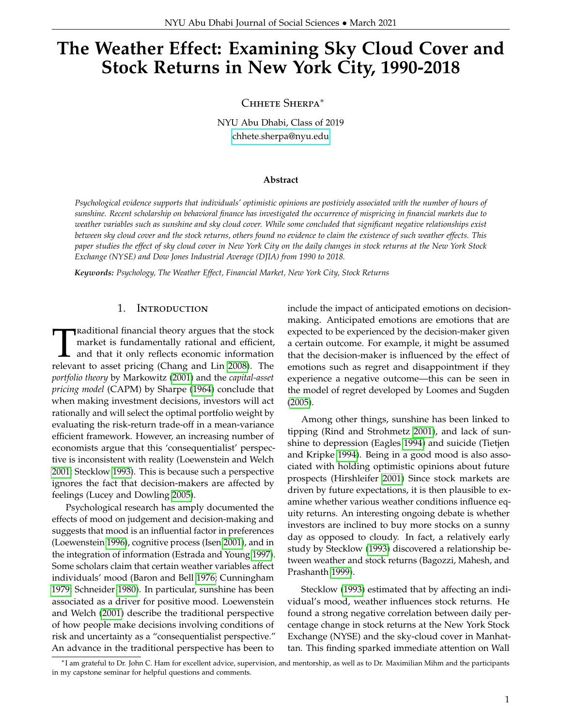# **The Weather Effect: Examining Sky Cloud Cover and Stock Returns in New York City, 1990-2018**

Chhete Sherpa<sup>∗</sup>

NYU Abu Dhabi, Class of 2019 [chhete.sherpa@nyu.edu](mailto:cs4495@nyu.edu)

#### **Abstract**

*Psychological evidence supports that individuals' optimistic opinions are postiviely associated with the number of hours of sunshine. Recent scholarship on behavioral finance has investigated the occurrence of mispricing in financial markets due to weather variables such as sunshine and sky cloud cover. While some concluded that significant negative relationships exist between sky cloud cover and the stock returns, others found no evidence to claim the existence of such weather effects. This paper studies the effect of sky cloud cover in New York City on the daily changes in stock returns at the New York Stock Exchange (NYSE) and Dow Jones Industrial Average (DJIA) from 1990 to 2018.*

*Keywords: Psychology, The Weather Effect, Financial Market, New York City, Stock Returns*

# 1. Introduction

**T**Raditional financial theory argues that the stock<br>market is fundamentally rational and efficient,<br>and that it only reflects economic information<br>relevant to asset pricing (Chang and Lin [2008\)](#page-6-0). The raditional financial theory argues that the stock market is fundamentally rational and efficient, and that it only reflects economic information *portfolio theory* by Markowitz [\(2001\)](#page-6-1) and the *capital-asset pricing model* (CAPM) by Sharpe [\(1964\)](#page-6-2) conclude that when making investment decisions, investors will act rationally and will select the optimal portfolio weight by evaluating the risk-return trade-off in a mean-variance efficient framework. However, an increasing number of economists argue that this 'consequentialist' perspective is inconsistent with reality (Loewenstein and Welch [2001;](#page-6-3) Stecklow [1993\)](#page-6-4). This is because such a perspective ignores the fact that decision-makers are affected by feelings (Lucey and Dowling [2005\)](#page-6-5).

Psychological research has amply documented the effects of mood on judgement and decision-making and suggests that mood is an influential factor in preferences (Loewenstein [1996\)](#page-6-6), cognitive process (Isen [2001\)](#page-6-7), and in the integration of information (Estrada and Young [1997\)](#page-6-8). Some scholars claim that certain weather variables affect individuals' mood (Baron and Bell [1976;](#page-6-9) Cunningham [1979;](#page-6-10) Schneider [1980\)](#page-6-11). In particular, sunshine has been associated as a driver for positive mood. Loewenstein and Welch [\(2001\)](#page-6-3) describe the traditional perspective of how people make decisions involving conditions of risk and uncertainty as a "consequentialist perspective." An advance in the traditional perspective has been to

include the impact of anticipated emotions on decisionmaking. Anticipated emotions are emotions that are expected to be experienced by the decision-maker given a certain outcome. For example, it might be assumed that the decision-maker is influenced by the effect of emotions such as regret and disappointment if they experience a negative outcome—this can be seen in the model of regret developed by Loomes and Sugden [\(2005\)](#page-6-12).

Among other things, sunshine has been linked to tipping (Rind and Strohmetz [2001\)](#page-6-13), and lack of sunshine to depression (Eagles [1994\)](#page-6-14) and suicide (Tietjen and Kripke [1994\)](#page-6-15). Being in a good mood is also associated with holding optimistic opinions about future prospects (Hirshleifer [2001\)](#page-6-16) Since stock markets are driven by future expectations, it is then plausible to examine whether various weather conditions influence equity returns. An interesting ongoing debate is whether investors are inclined to buy more stocks on a sunny day as opposed to cloudy. In fact, a relatively early study by Stecklow [\(1993\)](#page-6-4) discovered a relationship between weather and stock returns (Bagozzi, Mahesh, and Prashanth [1999\)](#page-5-0).

Stecklow [\(1993\)](#page-6-4) estimated that by affecting an individual's mood, weather influences stock returns. He found a strong negative correlation between daily percentage change in stock returns at the New York Stock Exchange (NYSE) and the sky-cloud cover in Manhattan. This finding sparked immediate attention on Wall

<sup>∗</sup> I am grateful to Dr. John C. Ham for excellent advice, supervision, and mentorship, as well as to Dr. Maximilian Mihm and the participants in my capstone seminar for helpful questions and comments.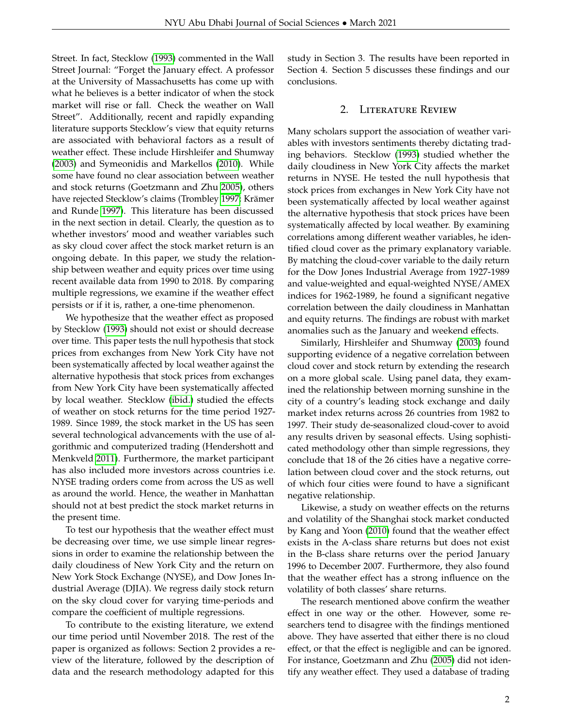Street. In fact, Stecklow [\(1993\)](#page-6-4) commented in the Wall Street Journal: "Forget the January effect. A professor at the University of Massachusetts has come up with what he believes is a better indicator of when the stock market will rise or fall. Check the weather on Wall Street". Additionally, recent and rapidly expanding literature supports Stecklow's view that equity returns are associated with behavioral factors as a result of weather effect. These include Hirshleifer and Shumway [\(2003\)](#page-6-17) and Symeonidis and Markellos [\(2010\)](#page-6-18). While some have found no clear association between weather and stock returns (Goetzmann and Zhu [2005\)](#page-6-19), others have rejected Stecklow's claims (Trombley [1997;](#page-6-20) Krämer and Runde [1997\)](#page-6-21). This literature has been discussed in the next section in detail. Clearly, the question as to whether investors' mood and weather variables such as sky cloud cover affect the stock market return is an ongoing debate. In this paper, we study the relationship between weather and equity prices over time using recent available data from 1990 to 2018. By comparing multiple regressions, we examine if the weather effect persists or if it is, rather, a one-time phenomenon.

We hypothesize that the weather effect as proposed by Stecklow [\(1993\)](#page-6-4) should not exist or should decrease over time. This paper tests the null hypothesis that stock prices from exchanges from New York City have not been systematically affected by local weather against the alternative hypothesis that stock prices from exchanges from New York City have been systematically affected by local weather. Stecklow [\(ibid.\)](#page-6-4) studied the effects of weather on stock returns for the time period 1927- 1989. Since 1989, the stock market in the US has seen several technological advancements with the use of algorithmic and computerized trading (Hendershott and Menkveld [2011\)](#page-6-22). Furthermore, the market participant has also included more investors across countries i.e. NYSE trading orders come from across the US as well as around the world. Hence, the weather in Manhattan should not at best predict the stock market returns in the present time.

To test our hypothesis that the weather effect must be decreasing over time, we use simple linear regressions in order to examine the relationship between the daily cloudiness of New York City and the return on New York Stock Exchange (NYSE), and Dow Jones Industrial Average (DJIA). We regress daily stock return on the sky cloud cover for varying time-periods and compare the coefficient of multiple regressions.

To contribute to the existing literature, we extend our time period until November 2018. The rest of the paper is organized as follows: Section 2 provides a review of the literature, followed by the description of data and the research methodology adapted for this

study in Section 3. The results have been reported in Section 4. Section 5 discusses these findings and our conclusions.

#### 2. Literature Review

Many scholars support the association of weather variables with investors sentiments thereby dictating trading behaviors. Stecklow [\(1993\)](#page-6-4) studied whether the daily cloudiness in New York City affects the market returns in NYSE. He tested the null hypothesis that stock prices from exchanges in New York City have not been systematically affected by local weather against the alternative hypothesis that stock prices have been systematically affected by local weather. By examining correlations among different weather variables, he identified cloud cover as the primary explanatory variable. By matching the cloud-cover variable to the daily return for the Dow Jones Industrial Average from 1927-1989 and value-weighted and equal-weighted NYSE/AMEX indices for 1962-1989, he found a significant negative correlation between the daily cloudiness in Manhattan and equity returns. The findings are robust with market anomalies such as the January and weekend effects.

Similarly, Hirshleifer and Shumway [\(2003\)](#page-6-17) found supporting evidence of a negative correlation between cloud cover and stock return by extending the research on a more global scale. Using panel data, they examined the relationship between morning sunshine in the city of a country's leading stock exchange and daily market index returns across 26 countries from 1982 to 1997. Their study de-seasonalized cloud-cover to avoid any results driven by seasonal effects. Using sophisticated methodology other than simple regressions, they conclude that 18 of the 26 cities have a negative correlation between cloud cover and the stock returns, out of which four cities were found to have a significant negative relationship.

Likewise, a study on weather effects on the returns and volatility of the Shanghai stock market conducted by Kang and Yoon [\(2010\)](#page-6-23) found that the weather effect exists in the A-class share returns but does not exist in the B-class share returns over the period January 1996 to December 2007. Furthermore, they also found that the weather effect has a strong influence on the volatility of both classes' share returns.

The research mentioned above confirm the weather effect in one way or the other. However, some researchers tend to disagree with the findings mentioned above. They have asserted that either there is no cloud effect, or that the effect is negligible and can be ignored. For instance, Goetzmann and Zhu [\(2005\)](#page-6-19) did not identify any weather effect. They used a database of trading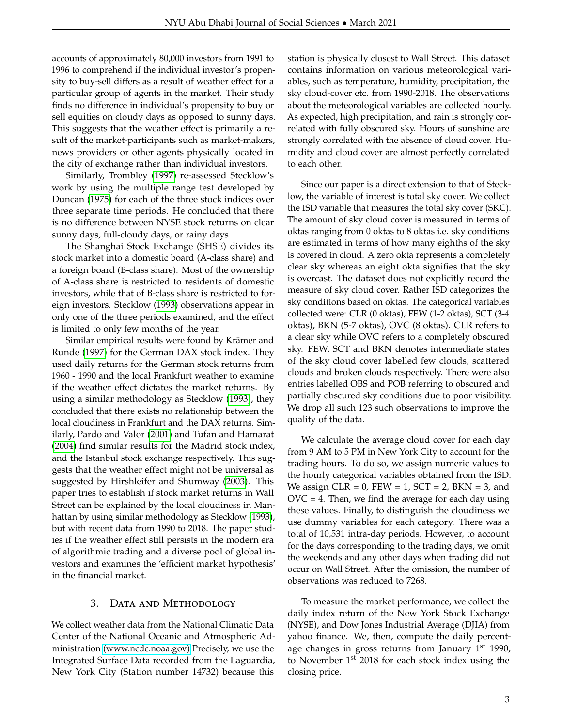accounts of approximately 80,000 investors from 1991 to 1996 to comprehend if the individual investor's propensity to buy-sell differs as a result of weather effect for a particular group of agents in the market. Their study finds no difference in individual's propensity to buy or sell equities on cloudy days as opposed to sunny days. This suggests that the weather effect is primarily a result of the market-participants such as market-makers, news providers or other agents physically located in the city of exchange rather than individual investors.

Similarly, Trombley [\(1997\)](#page-6-20) re-assessed Stecklow's work by using the multiple range test developed by Duncan [\(1975\)](#page-6-24) for each of the three stock indices over three separate time periods. He concluded that there is no difference between NYSE stock returns on clear sunny days, full-cloudy days, or rainy days.

The Shanghai Stock Exchange (SHSE) divides its stock market into a domestic board (A-class share) and a foreign board (B-class share). Most of the ownership of A-class share is restricted to residents of domestic investors, while that of B-class share is restricted to foreign investors. Stecklow [\(1993\)](#page-6-4) observations appear in only one of the three periods examined, and the effect is limited to only few months of the year.

Similar empirical results were found by Krämer and Runde [\(1997\)](#page-6-21) for the German DAX stock index. They used daily returns for the German stock returns from 1960 - 1990 and the local Frankfurt weather to examine if the weather effect dictates the market returns. By using a similar methodology as Stecklow [\(1993\)](#page-6-4), they concluded that there exists no relationship between the local cloudiness in Frankfurt and the DAX returns. Similarly, Pardo and Valor [\(2001\)](#page-6-25) and Tufan and Hamarat [\(2004\)](#page-6-26) find similar results for the Madrid stock index, and the Istanbul stock exchange respectively. This suggests that the weather effect might not be universal as suggested by Hirshleifer and Shumway [\(2003\)](#page-6-17). This paper tries to establish if stock market returns in Wall Street can be explained by the local cloudiness in Manhattan by using similar methodology as Stecklow [\(1993\)](#page-6-4), but with recent data from 1990 to 2018. The paper studies if the weather effect still persists in the modern era of algorithmic trading and a diverse pool of global investors and examines the 'efficient market hypothesis' in the financial market.

#### 3. Data and Methodology

We collect weather data from the National Climatic Data Center of the National Oceanic and Atmospheric Administration [\(www.ncdc.noaa.gov\)](https://www.ncdc.noaa.gov) Precisely, we use the Integrated Surface Data recorded from the Laguardia, New York City (Station number 14732) because this

station is physically closest to Wall Street. This dataset contains information on various meteorological variables, such as temperature, humidity, precipitation, the sky cloud-cover etc. from 1990-2018. The observations about the meteorological variables are collected hourly. As expected, high precipitation, and rain is strongly correlated with fully obscured sky. Hours of sunshine are strongly correlated with the absence of cloud cover. Humidity and cloud cover are almost perfectly correlated to each other.

Since our paper is a direct extension to that of Stecklow, the variable of interest is total sky cover. We collect the ISD variable that measures the total sky cover (SKC). The amount of sky cloud cover is measured in terms of oktas ranging from 0 oktas to 8 oktas i.e. sky conditions are estimated in terms of how many eighths of the sky is covered in cloud. A zero okta represents a completely clear sky whereas an eight okta signifies that the sky is overcast. The dataset does not explicitly record the measure of sky cloud cover. Rather ISD categorizes the sky conditions based on oktas. The categorical variables collected were: CLR (0 oktas), FEW (1-2 oktas), SCT (3-4 oktas), BKN (5-7 oktas), OVC (8 oktas). CLR refers to a clear sky while OVC refers to a completely obscured sky. FEW, SCT and BKN denotes intermediate states of the sky cloud cover labelled few clouds, scattered clouds and broken clouds respectively. There were also entries labelled OBS and POB referring to obscured and partially obscured sky conditions due to poor visibility. We drop all such 123 such observations to improve the quality of the data.

We calculate the average cloud cover for each day from 9 AM to 5 PM in New York City to account for the trading hours. To do so, we assign numeric values to the hourly categorical variables obtained from the ISD. We assign CLR =  $0$ , FEW =  $1$ , SCT =  $2$ , BKN =  $3$ , and  $OVC = 4$ . Then, we find the average for each day using these values. Finally, to distinguish the cloudiness we use dummy variables for each category. There was a total of 10,531 intra-day periods. However, to account for the days corresponding to the trading days, we omit the weekends and any other days when trading did not occur on Wall Street. After the omission, the number of observations was reduced to 7268.

To measure the market performance, we collect the daily index return of the New York Stock Exchange (NYSE), and Dow Jones Industrial Average (DJIA) from yahoo finance. We, then, compute the daily percentage changes in gross returns from January  $1<sup>st</sup>$  1990, to November  $1<sup>st</sup>$  2018 for each stock index using the closing price.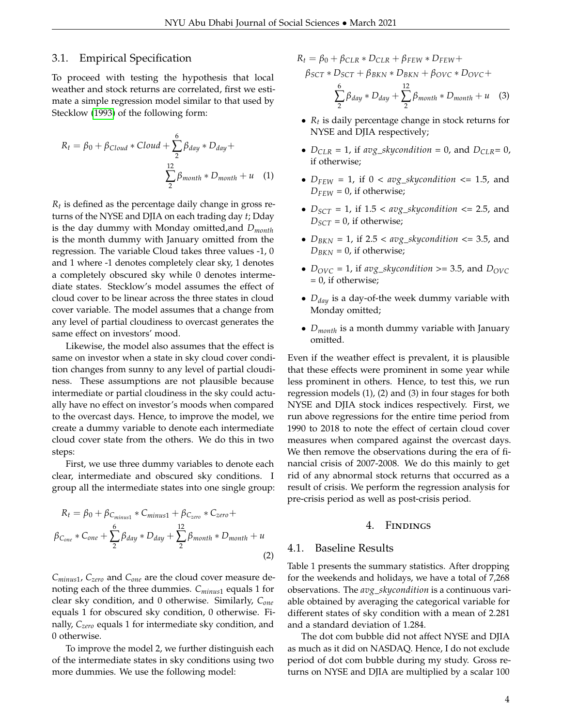## 3.1. Empirical Specification

To proceed with testing the hypothesis that local weather and stock returns are correlated, first we estimate a simple regression model similar to that used by Stecklow [\(1993\)](#page-6-4) of the following form:

$$
R_t = \beta_0 + \beta_{Cloud} * Cloud + \sum_{2}^{6} \beta_{day} * D_{day} +
$$

$$
\sum_{2}^{12} \beta_{month} * D_{month} + u \quad (1)
$$

*Rt* is defined as the percentage daily change in gross returns of the NYSE and DJIA on each trading day *t*; Dday is the day dummy with Monday omitted,and *Dmonth* is the month dummy with January omitted from the regression. The variable Cloud takes three values -1, 0 and 1 where -1 denotes completely clear sky, 1 denotes a completely obscured sky while 0 denotes intermediate states. Stecklow's model assumes the effect of cloud cover to be linear across the three states in cloud cover variable. The model assumes that a change from any level of partial cloudiness to overcast generates the same effect on investors' mood.

Likewise, the model also assumes that the effect is same on investor when a state in sky cloud cover condition changes from sunny to any level of partial cloudiness. These assumptions are not plausible because intermediate or partial cloudiness in the sky could actually have no effect on investor's moods when compared to the overcast days. Hence, to improve the model, we create a dummy variable to denote each intermediate cloud cover state from the others. We do this in two steps:

First, we use three dummy variables to denote each clear, intermediate and obscured sky conditions. I group all the intermediate states into one single group:

$$
R_t = \beta_0 + \beta_{C_{minus1}} * C_{minus1} + \beta_{C_{zero}} * C_{zero} +
$$
  

$$
\beta_{C_{one}} * C_{one} + \sum_{2}^{6} \beta_{day} * D_{day} + \sum_{2}^{12} \beta_{month} * D_{month} + u
$$
  
(2)

*Cminus*<sup>1</sup> , *Czero* and *Cone* are the cloud cover measure denoting each of the three dummies. *Cminus*<sup>1</sup> equals 1 for clear sky condition, and 0 otherwise. Similarly, *Cone* equals 1 for obscured sky condition, 0 otherwise. Finally, *Czero* equals 1 for intermediate sky condition, and 0 otherwise.

To improve the model 2, we further distinguish each of the intermediate states in sky conditions using two more dummies. We use the following model:

 $R_t = \beta_0 + \beta_{CLR} * D_{CLR} + \beta_{FEW} * D_{FEW} +$ 

$$
\beta_{SCT} * D_{SCT} + \beta_{BKN} * D_{BKN} + \beta_{OVC} * D_{OVC} +
$$

$$
\sum_{2}^{6} \beta_{day} * D_{day} + \sum_{2}^{12} \beta_{month} * D_{month} + u \quad (3)
$$

- *R<sup>t</sup>* is daily percentage change in stock returns for NYSE and DJIA respectively;
- $D_{CLR} = 1$ , if  $avg\_skycondition = 0$ , and  $D_{CLR} = 0$ , if otherwise;
- $D_{FEW} = 1$ , if  $0 < avg\_skycondition \leq 1.5$ , and  $D_{FEW} = 0$ , if otherwise;
- $D_{SCT} = 1$ , if  $1.5 < avg\_skycondition \leq 2.5$ , and  $D_{SCT} = 0$ , if otherwise;
- $D_{BKN} = 1$ , if 2.5 <  $avg\_skycondition \leq 3.5$ , and  $D_{BKN} = 0$ , if otherwise;
- $D_{OVC} = 1$ , if *avg\_skycondition* >= 3.5, and  $D_{OVC}$  $= 0$ , if otherwise;
- *Dday* is a day-of-the week dummy variable with Monday omitted;
- *Dmonth* is a month dummy variable with January omitted.

Even if the weather effect is prevalent, it is plausible that these effects were prominent in some year while less prominent in others. Hence, to test this, we run regression models (1), (2) and (3) in four stages for both NYSE and DJIA stock indices respectively. First, we run above regressions for the entire time period from 1990 to 2018 to note the effect of certain cloud cover measures when compared against the overcast days. We then remove the observations during the era of financial crisis of 2007-2008. We do this mainly to get rid of any abnormal stock returns that occurred as a result of crisis. We perform the regression analysis for pre-crisis period as well as post-crisis period.

#### 4. Findings

# 4.1. Baseline Results

Table 1 presents the summary statistics. After dropping for the weekends and holidays, we have a total of 7,268 observations. The *avg*\_*skycondition* is a continuous variable obtained by averaging the categorical variable for different states of sky condition with a mean of 2.281 and a standard deviation of 1.284.

The dot com bubble did not affect NYSE and DJIA as much as it did on NASDAQ. Hence, I do not exclude period of dot com bubble during my study. Gross returns on NYSE and DJIA are multiplied by a scalar 100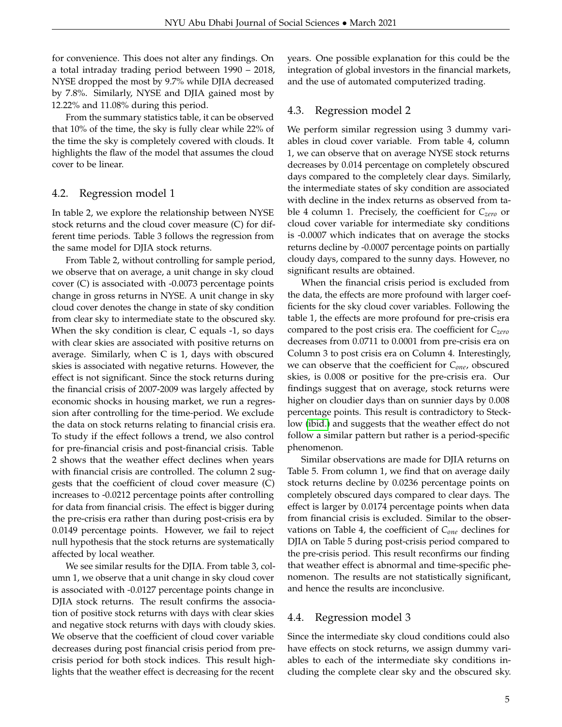for convenience. This does not alter any findings. On a total intraday trading period between 1990 – 2018, NYSE dropped the most by 9.7% while DJIA decreased by 7.8%. Similarly, NYSE and DJIA gained most by 12.22% and 11.08% during this period.

From the summary statistics table, it can be observed that 10% of the time, the sky is fully clear while 22% of the time the sky is completely covered with clouds. It highlights the flaw of the model that assumes the cloud cover to be linear.

#### 4.2. Regression model 1

In table 2, we explore the relationship between NYSE stock returns and the cloud cover measure (C) for different time periods. Table 3 follows the regression from the same model for DJIA stock returns.

From Table 2, without controlling for sample period, we observe that on average, a unit change in sky cloud cover (C) is associated with -0.0073 percentage points change in gross returns in NYSE. A unit change in sky cloud cover denotes the change in state of sky condition from clear sky to intermediate state to the obscured sky. When the sky condition is clear, C equals -1, so days with clear skies are associated with positive returns on average. Similarly, when C is 1, days with obscured skies is associated with negative returns. However, the effect is not significant. Since the stock returns during the financial crisis of 2007-2009 was largely affected by economic shocks in housing market, we run a regression after controlling for the time-period. We exclude the data on stock returns relating to financial crisis era. To study if the effect follows a trend, we also control for pre-financial crisis and post-financial crisis. Table 2 shows that the weather effect declines when years with financial crisis are controlled. The column 2 suggests that the coefficient of cloud cover measure (C) increases to -0.0212 percentage points after controlling for data from financial crisis. The effect is bigger during the pre-crisis era rather than during post-crisis era by 0.0149 percentage points. However, we fail to reject null hypothesis that the stock returns are systematically affected by local weather.

We see similar results for the DJIA. From table 3, column 1, we observe that a unit change in sky cloud cover is associated with -0.0127 percentage points change in DJIA stock returns. The result confirms the association of positive stock returns with days with clear skies and negative stock returns with days with cloudy skies. We observe that the coefficient of cloud cover variable decreases during post financial crisis period from precrisis period for both stock indices. This result highlights that the weather effect is decreasing for the recent

years. One possible explanation for this could be the integration of global investors in the financial markets, and the use of automated computerized trading.

#### 4.3. Regression model 2

We perform similar regression using 3 dummy variables in cloud cover variable. From table 4, column 1, we can observe that on average NYSE stock returns decreases by 0.014 percentage on completely obscured days compared to the completely clear days. Similarly, the intermediate states of sky condition are associated with decline in the index returns as observed from table 4 column 1. Precisely, the coefficient for *Czero* or cloud cover variable for intermediate sky conditions is -0.0007 which indicates that on average the stocks returns decline by -0.0007 percentage points on partially cloudy days, compared to the sunny days. However, no significant results are obtained.

When the financial crisis period is excluded from the data, the effects are more profound with larger coefficients for the sky cloud cover variables. Following the table 1, the effects are more profound for pre-crisis era compared to the post crisis era. The coefficient for *Czero* decreases from 0.0711 to 0.0001 from pre-crisis era on Column 3 to post crisis era on Column 4. Interestingly, we can observe that the coefficient for *Cone*, obscured skies, is 0.008 or positive for the pre-crisis era. Our findings suggest that on average, stock returns were higher on cloudier days than on sunnier days by 0.008 percentage points. This result is contradictory to Stecklow [\(ibid.\)](#page-6-4) and suggests that the weather effect do not follow a similar pattern but rather is a period-specific phenomenon.

Similar observations are made for DJIA returns on Table 5. From column 1, we find that on average daily stock returns decline by 0.0236 percentage points on completely obscured days compared to clear days. The effect is larger by 0.0174 percentage points when data from financial crisis is excluded. Similar to the observations on Table 4, the coefficient of *Cone* declines for DJIA on Table 5 during post-crisis period compared to the pre-crisis period. This result reconfirms our finding that weather effect is abnormal and time-specific phenomenon. The results are not statistically significant, and hence the results are inconclusive.

#### 4.4. Regression model 3

Since the intermediate sky cloud conditions could also have effects on stock returns, we assign dummy variables to each of the intermediate sky conditions including the complete clear sky and the obscured sky.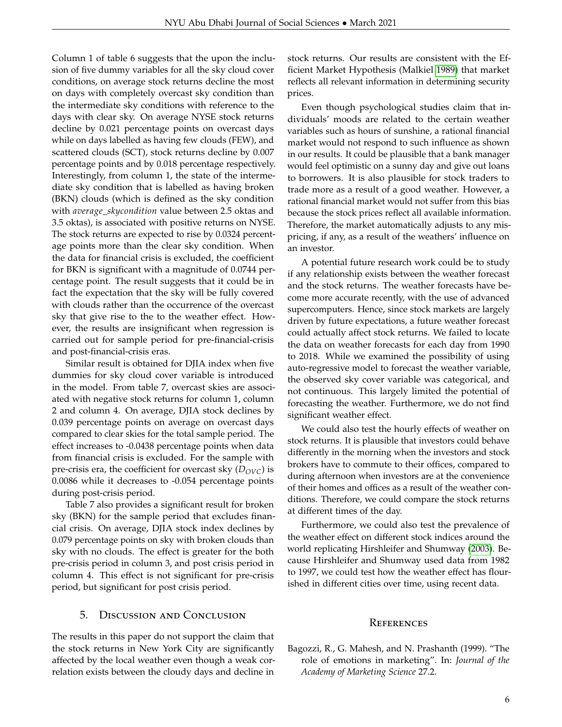Column 1 of table 6 suggests that the upon the inclusion of five dummy variables for all the sky cloud cover conditions, on average stock returns decline the most on days with completely overcast sky condition than the intermediate sky conditions with reference to the days with clear sky. On average NYSE stock returns decline by 0.021 percentage points on overcast days while on days labelled as having few clouds (FEW), and scattered clouds (SCT), stock returns decline by 0.007 percentage points and by 0.018 percentage respectively. Interestingly, from column 1, the state of the intermediate sky condition that is labelled as having broken (BKN) clouds (which is defined as the sky condition with *average*\_*skycondition* value between 2.5 oktas and 3.5 oktas), is associated with positive returns on NYSE. The stock returns are expected to rise by 0.0324 percentage points more than the clear sky condition. When the data for financial crisis is excluded, the coefficient for BKN is significant with a magnitude of 0.0744 percentage point. The result suggests that it could be in fact the expectation that the sky will be fully covered with clouds rather than the occurrence of the overcast sky that give rise to the to the weather effect. However, the results are insignificant when regression is carried out for sample period for pre-financial-crisis and post-financial-crisis eras.

Similar result is obtained for DJIA index when five dummies for sky cloud cover variable is introduced in the model. From table 7, overcast skies are associated with negative stock returns for column 1, column 2 and column 4. On average, DJIA stock declines by 0.039 percentage points on average on overcast days compared to clear skies for the total sample period. The effect increases to -0.0438 percentage points when data from financial crisis is excluded. For the sample with pre-crisis era, the coefficient for overcast sky ( $D_{OVC}$ ) is 0.0086 while it decreases to -0.054 percentage points during post-crisis period.

Table 7 also provides a significant result for broken sky (BKN) for the sample period that excludes financial crisis. On average, DJIA stock index declines by 0.079 percentage points on sky with broken clouds than sky with no clouds. The effect is greater for the both pre-crisis period in column 3, and post crisis period in column 4. This effect is not significant for pre-crisis period, but significant for post crisis period.

#### 5. Discussion and Conclusion

The results in this paper do not support the claim that the stock returns in New York City are significantly affected by the local weather even though a weak correlation exists between the cloudy days and decline in

stock returns. Our results are consistent with the Efficient Market Hypothesis (Malkiel [1989\)](#page-6-27) that market reflects all relevant information in determining security prices.

Even though psychological studies claim that individuals' moods are related to the certain weather variables such as hours of sunshine, a rational financial market would not respond to such influence as shown in our results. It could be plausible that a bank manager would feel optimistic on a sunny day and give out loans to borrowers. It is also plausible for stock traders to trade more as a result of a good weather. However, a rational financial market would not suffer from this bias because the stock prices reflect all available information. Therefore, the market automatically adjusts to any mispricing, if any, as a result of the weathers' influence on an investor.

A potential future research work could be to study if any relationship exists between the weather forecast and the stock returns. The weather forecasts have become more accurate recently, with the use of advanced supercomputers. Hence, since stock markets are largely driven by future expectations, a future weather forecast could actually affect stock returns. We failed to locate the data on weather forecasts for each day from 1990 to 2018. While we examined the possibility of using auto-regressive model to forecast the weather variable, the observed sky cover variable was categorical, and not continuous. This largely limited the potential of forecasting the weather. Furthermore, we do not find significant weather effect.

We could also test the hourly effects of weather on stock returns. It is plausible that investors could behave differently in the morning when the investors and stock brokers have to commute to their offices, compared to during afternoon when investors are at the convenience of their homes and offices as a result of the weather conditions. Therefore, we could compare the stock returns at different times of the day.

Furthermore, we could also test the prevalence of the weather effect on different stock indices around the world replicating Hirshleifer and Shumway [\(2003\)](#page-6-17). Because Hirshleifer and Shumway used data from 1982 to 1997, we could test how the weather effect has flourished in different cities over time, using recent data.

#### **REFERENCES**

<span id="page-5-0"></span>Bagozzi, R., G. Mahesh, and N. Prashanth (1999). "The role of emotions in marketing". In: *Journal of the Academy of Marketing Science* 27.2.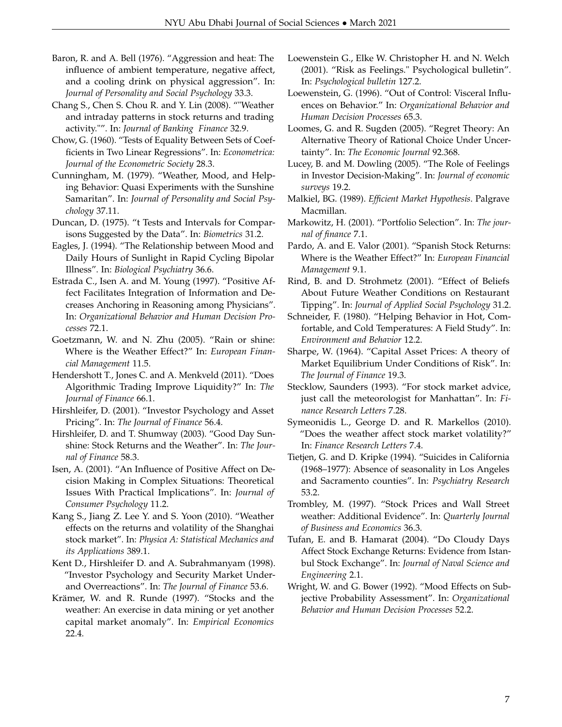- <span id="page-6-9"></span>Baron, R. and A. Bell (1976). "Aggression and heat: The influence of ambient temperature, negative affect, and a cooling drink on physical aggression". In: *Journal of Personality and Social Psychology* 33.3.
- <span id="page-6-0"></span>Chang S., Chen S. Chou R. and Y. Lin (2008). ""Weather and intraday patterns in stock returns and trading activity."". In: *Journal of Banking Finance* 32.9.
- Chow, G. (1960). "Tests of Equality Between Sets of Coefficients in Two Linear Regressions". In: *Econometrica: Journal of the Econometric Society* 28.3.
- <span id="page-6-10"></span>Cunningham, M. (1979). "Weather, Mood, and Helping Behavior: Quasi Experiments with the Sunshine Samaritan". In: *Journal of Personality and Social Psychology* 37.11.
- <span id="page-6-24"></span>Duncan, D. (1975). "t Tests and Intervals for Comparisons Suggested by the Data". In: *Biometrics* 31.2.
- <span id="page-6-14"></span>Eagles, J. (1994). "The Relationship between Mood and Daily Hours of Sunlight in Rapid Cycling Bipolar Illness". In: *Biological Psychiatry* 36.6.
- <span id="page-6-8"></span>Estrada C., Isen A. and M. Young (1997). "Positive Affect Facilitates Integration of Information and Decreases Anchoring in Reasoning among Physicians". In: *Organizational Behavior and Human Decision Processes* 72.1.
- <span id="page-6-19"></span>Goetzmann, W. and N. Zhu (2005). "Rain or shine: Where is the Weather Effect?" In: *European Financial Management* 11.5.
- <span id="page-6-22"></span>Hendershott T., Jones C. and A. Menkveld (2011). "Does Algorithmic Trading Improve Liquidity?" In: *The Journal of Finance* 66.1.
- <span id="page-6-16"></span>Hirshleifer, D. (2001). "Investor Psychology and Asset Pricing". In: *The Journal of Finance* 56.4.
- <span id="page-6-17"></span>Hirshleifer, D. and T. Shumway (2003). "Good Day Sunshine: Stock Returns and the Weather". In: *The Journal of Finance* 58.3.
- <span id="page-6-7"></span>Isen, A. (2001). "An Influence of Positive Affect on Decision Making in Complex Situations: Theoretical Issues With Practical Implications". In: *Journal of Consumer Psychology* 11.2.
- <span id="page-6-23"></span>Kang S., Jiang Z. Lee Y. and S. Yoon (2010). "Weather effects on the returns and volatility of the Shanghai stock market". In: *Physica A: Statistical Mechanics and its Applications* 389.1.
- Kent D., Hirshleifer D. and A. Subrahmanyam (1998). "Investor Psychology and Security Market Underand Overreactions". In: *The Journal of Finance* 53.6.
- <span id="page-6-21"></span>Krämer, W. and R. Runde (1997). "Stocks and the weather: An exercise in data mining or yet another capital market anomaly". In: *Empirical Economics* 22.4.
- <span id="page-6-3"></span>Loewenstein G., Elke W. Christopher H. and N. Welch (2001). "Risk as Feelings." Psychological bulletin". In: *Psychological bulletin* 127.2.
- <span id="page-6-6"></span>Loewenstein, G. (1996). "Out of Control: Visceral Influences on Behavior." In: *Organizational Behavior and Human Decision Processes* 65.3.
- <span id="page-6-12"></span>Loomes, G. and R. Sugden (2005). "Regret Theory: An Alternative Theory of Rational Choice Under Uncertainty". In: *The Economic Journal* 92.368.
- <span id="page-6-5"></span>Lucey, B. and M. Dowling (2005). "The Role of Feelings in Investor Decision-Making". In: *Journal of economic surveys* 19.2.
- <span id="page-6-27"></span>Malkiel, BG. (1989). *Efficient Market Hypothesis*. Palgrave Macmillan.
- <span id="page-6-1"></span>Markowitz, H. (2001). "Portfolio Selection". In: *The journal of finance* 7.1.
- <span id="page-6-25"></span>Pardo, A. and E. Valor (2001). "Spanish Stock Returns: Where is the Weather Effect?" In: *European Financial Management* 9.1.
- <span id="page-6-13"></span>Rind, B. and D. Strohmetz (2001). "Effect of Beliefs About Future Weather Conditions on Restaurant Tipping". In: *Journal of Applied Social Psychology* 31.2.
- <span id="page-6-11"></span>Schneider, F. (1980). "Helping Behavior in Hot, Comfortable, and Cold Temperatures: A Field Study". In: *Environment and Behavior* 12.2.
- <span id="page-6-2"></span>Sharpe, W. (1964). "Capital Asset Prices: A theory of Market Equilibrium Under Conditions of Risk". In: *The Journal of Finance* 19.3.
- <span id="page-6-4"></span>Stecklow, Saunders (1993). "For stock market advice, just call the meteorologist for Manhattan". In: *Finance Research Letters* 7.28.
- <span id="page-6-18"></span>Symeonidis L., George D. and R. Markellos (2010). "Does the weather affect stock market volatility?" In: *Finance Research Letters* 7.4.
- <span id="page-6-15"></span>Tietjen, G. and D. Kripke (1994). "Suicides in California (1968–1977): Absence of seasonality in Los Angeles and Sacramento counties". In: *Psychiatry Research* 53.2.
- <span id="page-6-20"></span>Trombley, M. (1997). "Stock Prices and Wall Street weather: Additional Evidence". In: *Quarterly Journal of Business and Economics* 36.3.
- <span id="page-6-26"></span>Tufan, E. and B. Hamarat (2004). "Do Cloudy Days Affect Stock Exchange Returns: Evidence from Istanbul Stock Exchange". In: *Journal of Naval Science and Engineering* 2.1.
- Wright, W. and G. Bower (1992). "Mood Effects on Subjective Probability Assessment". In: *Organizational Behavior and Human Decision Processes* 52.2.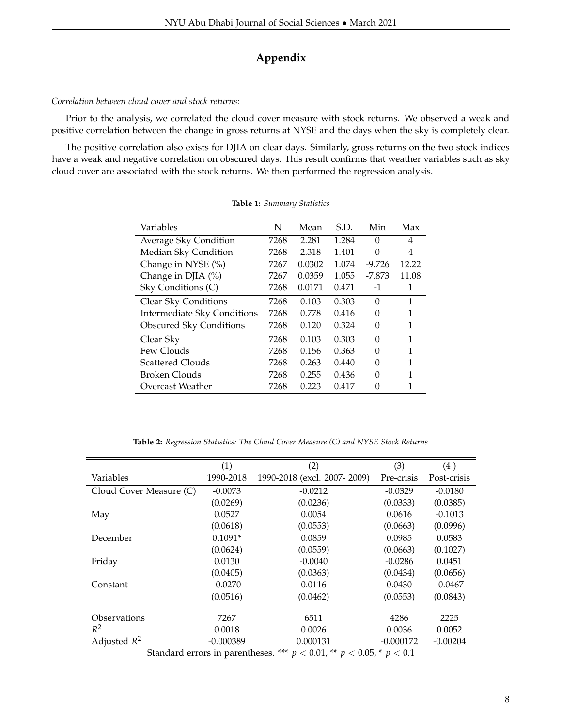# **Appendix**

# *Correlation between cloud cover and stock returns:*

Prior to the analysis, we correlated the cloud cover measure with stock returns. We observed a weak and positive correlation between the change in gross returns at NYSE and the days when the sky is completely clear.

The positive correlation also exists for DJIA on clear days. Similarly, gross returns on the two stock indices have a weak and negative correlation on obscured days. This result confirms that weather variables such as sky cloud cover are associated with the stock returns. We then performed the regression analysis.

| N    | Mean   | S.D.  | Min      | Max            |
|------|--------|-------|----------|----------------|
| 7268 | 2.281  | 1.284 | $\Omega$ | $\overline{4}$ |
| 7268 | 2.318  | 1.401 | 0        | 4              |
| 7267 | 0.0302 | 1.074 | $-9.726$ | 12.22          |
| 7267 | 0.0359 | 1.055 | $-7.873$ | 11.08          |
| 7268 | 0.0171 | 0.471 | $-1$     | 1              |
| 7268 | 0.103  | 0.303 | $\Omega$ | 1              |
| 7268 | 0.778  | 0.416 | 0        | 1              |
| 7268 | 0.120  | 0.324 | 0        | 1              |
| 7268 | 0.103  | 0.303 | $\Omega$ | 1              |
| 7268 | 0.156  | 0.363 | 0        | 1              |
| 7268 | 0.263  | 0.440 | 0        | 1              |
| 7268 | 0.255  | 0.436 | 0        | 1              |
| 7268 | 0.223  | 0.417 | 0        |                |
|      |        |       |          |                |

**Table 1:** *Summary Statistics*

**Table 2:** *Regression Statistics: The Cloud Cover Measure (C) and NYSE Stock Returns*

|                                        | (1)         | (2)                                             | (3)         | (4)         |
|----------------------------------------|-------------|-------------------------------------------------|-------------|-------------|
| Variables                              | 1990-2018   | 1990-2018 (excl. 2007-2009)                     | Pre-crisis  | Post-crisis |
| Cloud Cover Measure (C)                | $-0.0073$   | $-0.0212$                                       | $-0.0329$   | $-0.0180$   |
|                                        | (0.0269)    | (0.0236)                                        | (0.0333)    | (0.0385)    |
| May                                    | 0.0527      | 0.0054                                          | 0.0616      | $-0.1013$   |
|                                        | (0.0618)    | (0.0553)                                        | (0.0663)    | (0.0996)    |
| December                               | $0.1091*$   | 0.0859                                          | 0.0985      | 0.0583      |
|                                        | (0.0624)    | (0.0559)                                        | (0.0663)    | (0.1027)    |
| Friday                                 | 0.0130      | $-0.0040$                                       | $-0.0286$   | 0.0451      |
|                                        | (0.0405)    | (0.0363)                                        | (0.0434)    | (0.0656)    |
| Constant                               | $-0.0270$   | 0.0116                                          | 0.0430      | $-0.0467$   |
|                                        | (0.0516)    | (0.0462)                                        | (0.0553)    | (0.0843)    |
|                                        |             |                                                 |             |             |
| Observations                           | 7267        | 6511                                            | 4286        | 2225        |
| $R^2$                                  | 0.0018      | 0.0026                                          | 0.0036      | 0.0052      |
| Adjusted $R^2$                         | $-0.000389$ | 0.000131                                        | $-0.000172$ | $-0.00204$  |
| $\mathbf{I}$<br>$\sim$<br>$\mathbf{1}$ | $\cdot$ 1   | <b>M.M.M.</b><br>$. \cap \cap F$<br>$0.01$ $44$ | . 0.4       |             |

Standard errors in parentheses. \*\*\*  $p < 0.01$ , \*\*  $p < 0.05$ , \*  $p < 0.1$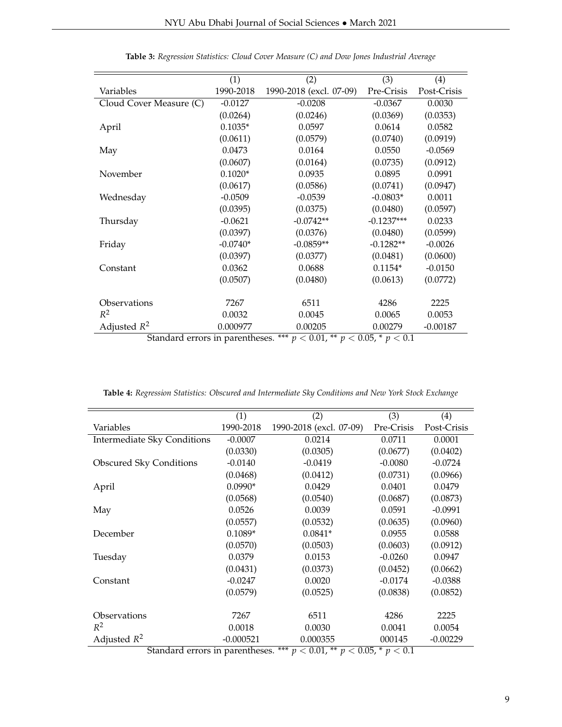|                                     | (1)        | (2)                     | (3)          | (4)         |
|-------------------------------------|------------|-------------------------|--------------|-------------|
| Variables                           | 1990-2018  | 1990-2018 (excl. 07-09) | Pre-Crisis   | Post-Crisis |
| Cloud Cover Measure (C)             | $-0.0127$  | $-0.0208$               | $-0.0367$    | 0.0030      |
|                                     | (0.0264)   | (0.0246)                | (0.0369)     | (0.0353)    |
| April                               | $0.1035*$  | 0.0597                  | 0.0614       | 0.0582      |
|                                     | (0.0611)   | (0.0579)                | (0.0740)     | (0.0919)    |
| May                                 | 0.0473     | 0.0164                  | 0.0550       | $-0.0569$   |
|                                     | (0.0607)   | (0.0164)                | (0.0735)     | (0.0912)    |
| November                            | $0.1020*$  | 0.0935                  | 0.0895       | 0.0991      |
|                                     | (0.0617)   | (0.0586)                | (0.0741)     | (0.0947)    |
| Wednesday                           | $-0.0509$  | $-0.0539$               | $-0.0803*$   | 0.0011      |
|                                     | (0.0395)   | (0.0375)                | (0.0480)     | (0.0597)    |
| Thursday                            | $-0.0621$  | $-0.0742**$             | $-0.1237***$ | 0.0233      |
|                                     | (0.0397)   | (0.0376)                | (0.0480)     | (0.0599)    |
| Friday                              | $-0.0740*$ | $-0.0859**$             | $-0.1282**$  | $-0.0026$   |
|                                     | (0.0397)   | (0.0377)                | (0.0481)     | (0.0600)    |
| Constant                            | 0.0362     | 0.0688                  | $0.1154*$    | $-0.0150$   |
|                                     | (0.0507)   | (0.0480)                | (0.0613)     | (0.0772)    |
|                                     |            |                         |              |             |
| Observations                        | 7267       | 6511                    | 4286         | 2225        |
| $R^2$                               | 0.0032     | 0.0045                  | 0.0065       | 0.0053      |
| Adjusted $R^2$<br>$C$ tandard awara | 0.000977   | 0.00205                 | 0.00279      | $-0.00187$  |

| Table 3: Regression Statistics: Cloud Cover Measure (C) and Dow Jones Industrial Average |  |  |  |  |  |
|------------------------------------------------------------------------------------------|--|--|--|--|--|
|------------------------------------------------------------------------------------------|--|--|--|--|--|

Standard errors in parentheses. \*\*\* *p* < 0.01, \*\* *p* < 0.05, \* *p* < 0.1

**Table 4:** *Regression Statistics: Obscured and Intermediate Sky Conditions and New York Stock Exchange*

|                                                                                 | (1)         | (2)                     | (3)        | (4)         |
|---------------------------------------------------------------------------------|-------------|-------------------------|------------|-------------|
| Variables                                                                       | 1990-2018   | 1990-2018 (excl. 07-09) | Pre-Crisis | Post-Crisis |
| <b>Intermediate Sky Conditions</b>                                              | $-0.0007$   | 0.0214                  | 0.0711     | 0.0001      |
|                                                                                 | (0.0330)    | (0.0305)                | (0.0677)   | (0.0402)    |
| <b>Obscured Sky Conditions</b>                                                  | $-0.0140$   | $-0.0419$               | $-0.0080$  | $-0.0724$   |
|                                                                                 | (0.0468)    | (0.0412)                | (0.0731)   | (0.0966)    |
| April                                                                           | $0.0990*$   | 0.0429                  | 0.0401     | 0.0479      |
|                                                                                 | (0.0568)    | (0.0540)                | (0.0687)   | (0.0873)    |
| May                                                                             | 0.0526      | 0.0039                  | 0.0591     | $-0.0991$   |
|                                                                                 | (0.0557)    | (0.0532)                | (0.0635)   | (0.0960)    |
| December                                                                        | $0.1089*$   | $0.0841*$               | 0.0955     | 0.0588      |
|                                                                                 | (0.0570)    | (0.0503)                | (0.0603)   | (0.0912)    |
| Tuesday                                                                         | 0.0379      | 0.0153                  | $-0.0260$  | 0.0947      |
|                                                                                 | (0.0431)    | (0.0373)                | (0.0452)   | (0.0662)    |
| Constant                                                                        | $-0.0247$   | 0.0020                  | $-0.0174$  | $-0.0388$   |
|                                                                                 | (0.0579)    | (0.0525)                | (0.0838)   | (0.0852)    |
|                                                                                 |             |                         |            |             |
| Observations                                                                    | 7267        | 6511                    | 4286       | 2225        |
| $R^2$                                                                           | 0.0018      | 0.0030                  | 0.0041     | 0.0054      |
| Adjusted $R^2$                                                                  | $-0.000521$ | 0.000355                | 000145     | $-0.00229$  |
| *** $p < 0.01$ , ** $p < 0.05$ , * $p < 0.1$<br>Standard errors in parentheses. |             |                         |            |             |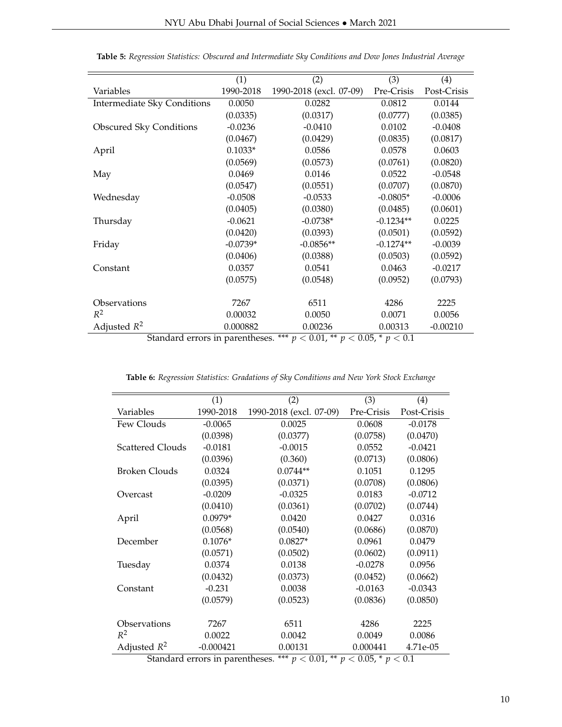|                                    | (1)        | (2)                     | (3)         | (4)         |
|------------------------------------|------------|-------------------------|-------------|-------------|
| Variables                          | 1990-2018  | 1990-2018 (excl. 07-09) | Pre-Crisis  | Post-Crisis |
| <b>Intermediate Sky Conditions</b> | 0.0050     | 0.0282                  | 0.0812      | 0.0144      |
|                                    | (0.0335)   | (0.0317)                | (0.0777)    | (0.0385)    |
| <b>Obscured Sky Conditions</b>     | $-0.0236$  | $-0.0410$               | 0.0102      | $-0.0408$   |
|                                    | (0.0467)   | (0.0429)                | (0.0835)    | (0.0817)    |
| April                              | $0.1033*$  | 0.0586                  | 0.0578      | 0.0603      |
|                                    | (0.0569)   | (0.0573)                | (0.0761)    | (0.0820)    |
| May                                | 0.0469     | 0.0146                  | 0.0522      | $-0.0548$   |
|                                    | (0.0547)   | (0.0551)                | (0.0707)    | (0.0870)    |
| Wednesday                          | $-0.0508$  | $-0.0533$               | $-0.0805*$  | $-0.0006$   |
|                                    | (0.0405)   | (0.0380)                | (0.0485)    | (0.0601)    |
| Thursday                           | $-0.0621$  | $-0.0738*$              | $-0.1234**$ | 0.0225      |
|                                    | (0.0420)   | (0.0393)                | (0.0501)    | (0.0592)    |
| Friday                             | $-0.0739*$ | $-0.0856**$             | $-0.1274**$ | $-0.0039$   |
|                                    | (0.0406)   | (0.0388)                | (0.0503)    | (0.0592)    |
| Constant                           | 0.0357     | 0.0541                  | 0.0463      | $-0.0217$   |
|                                    | (0.0575)   | (0.0548)                | (0.0952)    | (0.0793)    |
|                                    |            |                         |             |             |
| Observations                       | 7267       | 6511                    | 4286        | 2225        |
| $R^2$                              | 0.00032    | 0.0050                  | 0.0071      | 0.0056      |
| Adjusted $R^2$                     | 0.000882   | 0.00236                 | 0.00313     | $-0.00210$  |

**Table 5:** *Regression Statistics: Obscured and Intermediate Sky Conditions and Dow Jones Industrial Average*

Standard errors in parentheses. \*\*\* *p* < 0.01, \*\* *p* < 0.05, \* *p* < 0.1

**Table 6:** *Regression Statistics: Gradations of Sky Conditions and New York Stock Exchange*

|                         | (1)                              | (2)                     | (3)        | (4)         |
|-------------------------|----------------------------------|-------------------------|------------|-------------|
| Variables               | 1990-2018                        | 1990-2018 (excl. 07-09) | Pre-Crisis | Post-Crisis |
| Few Clouds              | $-0.0065$                        | 0.0025                  | 0.0608     | $-0.0178$   |
|                         | (0.0398)                         | (0.0377)                | (0.0758)   | (0.0470)    |
| <b>Scattered Clouds</b> | $-0.0181$                        | $-0.0015$               | 0.0552     | $-0.0421$   |
|                         | (0.0396)                         | (0.360)                 | (0.0713)   | (0.0806)    |
| <b>Broken Clouds</b>    | 0.0324                           | $0.0744**$              | 0.1051     | 0.1295      |
|                         | (0.0395)                         | (0.0371)                | (0.0708)   | (0.0806)    |
| Overcast                | $-0.0209$                        | $-0.0325$               | 0.0183     | $-0.0712$   |
|                         | (0.0410)                         | (0.0361)                | (0.0702)   | (0.0744)    |
| April                   | $0.0979*$                        | 0.0420                  | 0.0427     | 0.0316      |
|                         | (0.0568)                         | (0.0540)                | (0.0686)   | (0.0870)    |
| December                | $0.1076*$                        | $0.0827*$               | 0.0961     | 0.0479      |
|                         | (0.0571)                         | (0.0502)                | (0.0602)   | (0.0911)    |
| Tuesday                 | 0.0374                           | 0.0138                  | $-0.0278$  | 0.0956      |
|                         | (0.0432)                         | (0.0373)                | (0.0452)   | (0.0662)    |
| Constant                | $-0.231$                         | 0.0038                  | $-0.0163$  | $-0.0343$   |
|                         | (0.0579)                         | (0.0523)                | (0.0836)   | (0.0850)    |
|                         |                                  |                         |            |             |
| Observations            | 7267                             | 6511                    | 4286       | 2225        |
| $R^2$                   | 0.0022                           | 0.0042                  | 0.0049     | 0.0086      |
| Adjusted $R^2$          | $-0.000421$                      | 0.00131                 | 0.000441   | 4.71e-05    |
|                         | Ctandard organize in parantheses | *** $\sim$ 0.01         |            |             |

Standard errors in parentheses. \*\*\*  $p < 0.01$ , \*\*  $p < 0.05$ , \*  $p < 0.1$